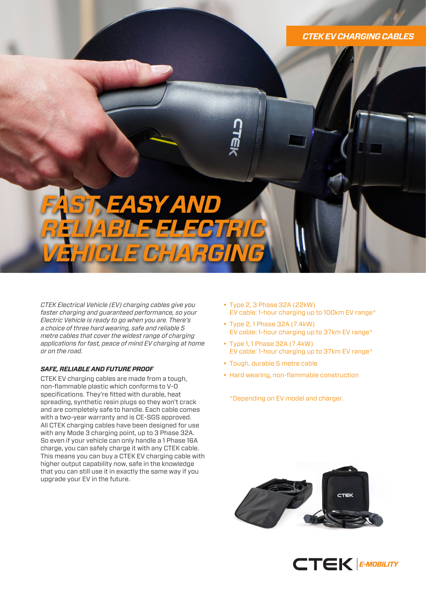### *CTEK EV CHARGING CABLES*

# *FAST, EASY AND RELIABLE ELECTRIC VEHICLE CHARGING*

*CTEK Electrical Vehicle (EV) charging cables give you faster charging and guaranteed performance, so your Electric Vehicle is ready to go when you are. There's a choice of three hard wearing, safe and reliable 5 metre cables that cover the widest range of charging applications for fast, peace of mind EV charging at home or on the road.*

#### *SAFE, RELIABLE AND FUTURE PROOF*

CTEK EV charging cables are made from a tough, non-flammable plastic which conforms to V-0 specifications. They're fitted with durable, heat spreading, synthetic resin plugs so they won't crack and are completely safe to handle. Each cable comes with a two-year warranty and is CE-SGS approved. All CTEK charging cables have been designed for use with any Mode 3 charging point, up to 3 Phase 32A. So even if your vehicle can only handle a 1 Phase 16A charge, you can safely charge it with any CTEK cable. This means you can buy a CTEK EV charging cable with higher output capability now, safe in the knowledge that you can still use it in exactly the same way if you upgrade your EV in the future.

- Type 2, 3 Phase 32A (22kW) EV cable: 1-hour charging up to 100km EV range\*
- Type 2, 1 Phase 32A (7.4kW) EV cable: 1-hour charging up to 37km EV range\*
- Type 1, 1 Phase 32A (7.4kW) EV cable: 1-hour charging up to 37km EV range\*
- Tough, durable 5 metre cable
- Hard wearing, non-flammable construction

\*Depending on EV model and charger.